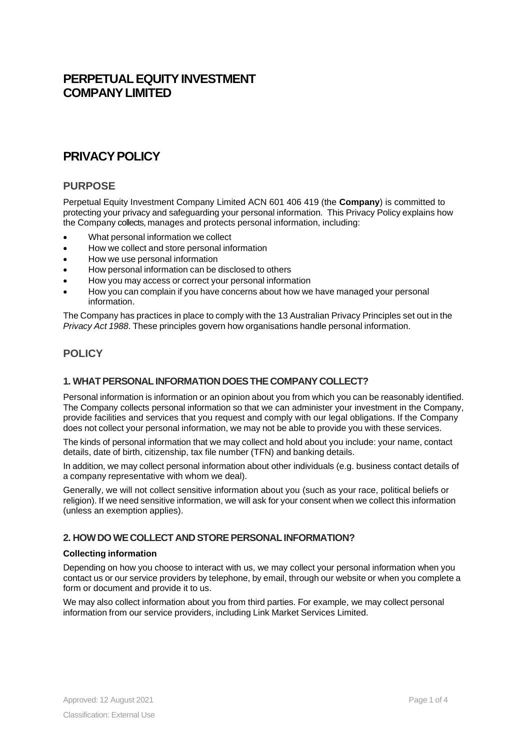# **PERPETUAL EQUITY INVESTMENT COMPANYLIMITED**

# **PRIVACYPOLICY**

## **PURPOSE**

Perpetual Equity Investment Company Limited ACN 601 406 419 (the **Company**) is committed to protecting your privacy and safeguarding your personal information. This Privacy Policy explains how the Company collects, manages and protects personal information, including:

- What personal information we collect
- How we collect and store personal information
- How we use personal information
- How personal information can be disclosed to others
- How you may access or correct your personal information
- How you can complain if you have concerns about how we have managed your personal information.

The Company has practices in place to comply with the 13 Australian Privacy Principles set out in the *Privacy Act 1988*. These principles govern how organisations handle personal information.

## **POLICY**

### **1. WHATPERSONALINFORMATION DOESTHE COMPANY COLLECT?**

Personal information is information or an opinion about you from which you can be reasonably identified. The Company collects personal information so that we can administer your investment in the Company, provide facilities and services that you request and comply with our legal obligations. If the Company does not collect your personal information, we may not be able to provide you with these services.

The kinds of personal information that we may collect and hold about you include: your name, contact details, date of birth, citizenship, tax file number (TFN) and banking details.

In addition, we may collect personal information about other individuals (e.g. business contact details of a company representative with whom we deal).

Generally, we will not collect sensitive information about you (such as your race, political beliefs or religion). If we need sensitive information, we will ask for your consent when we collect this information (unless an exemption applies).

### **2. HOWDOWECOLLECT AND STOREPERSONALINFORMATION?**

#### **Collecting information**

Depending on how you choose to interact with us, we may collect your personal information when you contact us or our service providers by telephone, by email, through our website or when you complete a form or document and provide it to us.

We may also collect information about you from third parties. For example, we may collect personal information from our service providers, including Link Market Services Limited.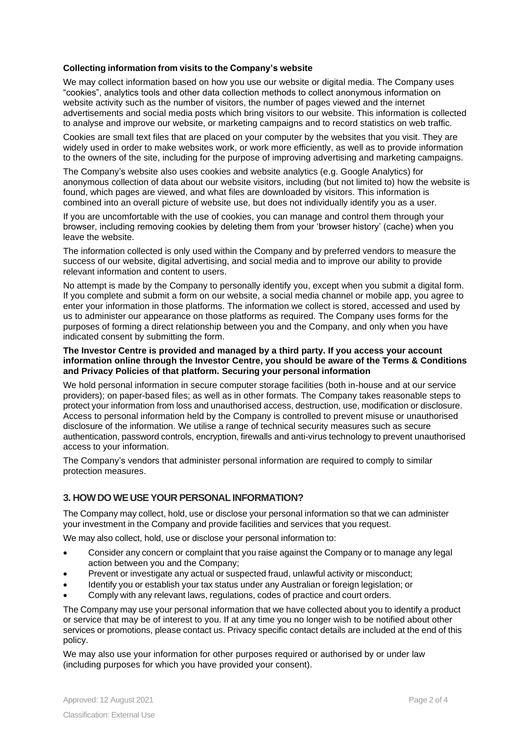#### **Collecting information from visits to the Company's website**

We may collect information based on how you use our website or digital media. The Company uses "cookies", analytics tools and other data collection methods to collect anonymous information on website activity such as the number of visitors, the number of pages viewed and the internet advertisements and social media posts which bring visitors to our website. This information is collected to analyse and improve our website, or marketing campaigns and to record statistics on web traffic.

Cookies are small text files that are placed on your computer by the websites that you visit. They are widely used in order to make websites work, or work more efficiently, as well as to provide information to the owners of the site, including for the purpose of improving advertising and marketing campaigns.

The Company's website also uses cookies and website analytics (e.g. Google Analytics) for anonymous collection of data about our website visitors, including (but not limited to) how the website is found, which pages are viewed, and what files are downloaded by visitors. This information is combined into an overall picture of website use, but does not individually identify you as a user.

If you are uncomfortable with the use of cookies, you can manage and control them through your browser, including removing cookies by deleting them from your 'browser history' (cache) when you leave the website.

The information collected is only used within the Company and by preferred vendors to measure the success of our website, digital advertising, and social media and to improve our ability to provide relevant information and content to users.

No attempt is made by the Company to personally identify you, except when you submit a digital form. If you complete and submit a form on our website, a social media channel or mobile app, you agree to enter your information in those platforms. The information we collect is stored, accessed and used by us to administer our appearance on those platforms as required. The Company uses forms for the purposes of forming a direct relationship between you and the Company, and only when you have indicated consent by submitting the form.

#### **The Investor Centre is provided and managed by a third party. If you access your account information online through the Investor Centre, you should be aware of the Terms & Conditions and Privacy Policies of that platform. Securing your personal information**

We hold personal information in secure computer storage facilities (both in-house and at our service providers); on paper-based files; as well as in other formats. The Company takes reasonable steps to protect your information from loss and unauthorised access, destruction, use, modification or disclosure. Access to personal information held by the Company is controlled to prevent misuse or unauthorised disclosure of the information. We utilise a range of technical security measures such as secure authentication, password controls, encryption, firewalls and anti-virus technology to prevent unauthorised access to your information.

The Company's vendors that administer personal information are required to comply to similar protection measures.

#### **3. HOWDOWEUSEYOUR PERSONALINFORMATION?**

The Company may collect, hold, use or disclose your personal information so that we can administer your investment in the Company and provide facilities and services that you request.

We may also collect, hold, use or disclose your personal information to:

- Consider any concern or complaint that you raise against the Company or to manage any legal action between you and the Company;
- Prevent or investigate any actual or suspected fraud, unlawful activity or misconduct;
- Identify you or establish your tax status under any Australian or foreign legislation; or
- Comply with any relevant laws, regulations, codes of practice and court orders.

The Company may use your personal information that we have collected about you to identify a product or service that may be of interest to you. If at any time you no longer wish to be notified about other services or promotions, please contact us. Privacy specific contact details are included at the end of this policy.

We may also use your information for other purposes required or authorised by or under law (including purposes for which you have provided your consent).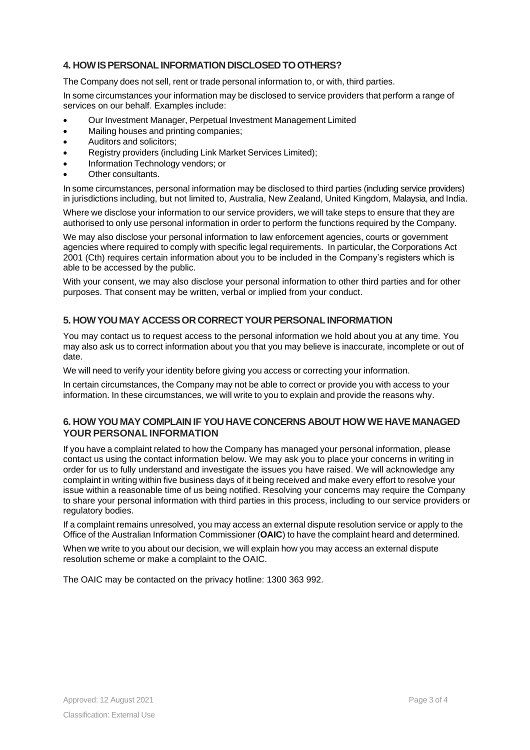## **4. HOWISPERSONALINFORMATION DISCLOSED TOOTHERS?**

The Company does not sell, rent or trade personal information to, or with, third parties.

In some circumstances your information may be disclosed to service providers that perform a range of services on our behalf. Examples include:

- Our Investment Manager, Perpetual Investment Management Limited
- Mailing houses and printing companies;
- Auditors and solicitors;
- Registry providers (including Link Market Services Limited);
- Information Technology vendors; or
- Other consultants.

In some circumstances, personal information may be disclosed to third parties (including service providers) in jurisdictions including, but not limited to, Australia, New Zealand, United Kingdom, Malaysia, and India.

Where we disclose your information to our service providers, we will take steps to ensure that they are authorised to only use personal information in order to perform the functions required by the Company.

We may also disclose your personal information to law enforcement agencies, courts or government agencies where required to comply with specific legal requirements. In particular, the Corporations Act 2001 (Cth) requires certain information about you to be included in the Company's registers which is able to be accessed by the public.

With your consent, we may also disclose your personal information to other third parties and for other purposes. That consent may be written, verbal or implied from your conduct.

## **5. HOWYOUMAY ACCESSOR CORRECTYOURPERSONALINFORMATION**

You may contact us to request access to the personal information we hold about you at any time. You may also ask us to correct information about you that you may believe is inaccurate, incomplete or out of date.

We will need to verify your identity before giving you access or correcting your information.

In certain circumstances, the Company may not be able to correct or provide you with access to your information. In these circumstances, we will write to you to explain and provide the reasons why.

#### **6. HOW YOU MAY COMPLAIN IF YOU HAVE CONCERNS ABOUT HOW WE HAVE MANAGED YOUR PERSONAL INFORMATION**

If you have a complaint related to how the Company has managed your personal information, please contact us using the contact information below. We may ask you to place your concerns in writing in order for us to fully understand and investigate the issues you have raised. We will acknowledge any complaint in writing within five business days of it being received and make every effort to resolve your issue within a reasonable time of us being notified. Resolving your concerns may require the Company to share your personal information with third parties in this process, including to our service providers or regulatory bodies.

If a complaint remains unresolved, you may access an external dispute resolution service or apply to the Office of the Australian Information Commissioner (**OAIC**) to have the complaint heard and determined.

When we write to you about our decision, we will explain how you may access an external dispute resolution scheme or make a complaint to the OAIC.

The OAIC may be contacted on the privacy hotline: 1300 363 992.